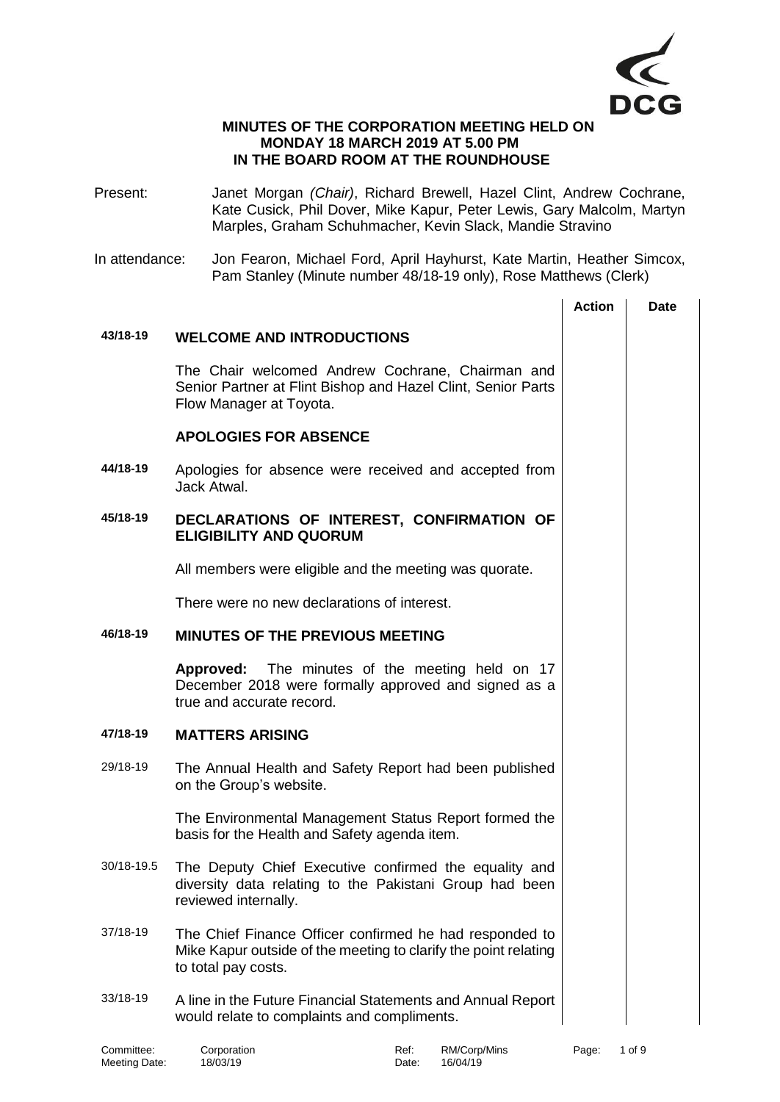

## **MINUTES OF THE CORPORATION MEETING HELD ON MONDAY 18 MARCH 2019 AT 5.00 PM IN THE BOARD ROOM AT THE ROUNDHOUSE**

- Present: Janet Morgan *(Chair)*, Richard Brewell, Hazel Clint, Andrew Cochrane, Kate Cusick, Phil Dover, Mike Kapur, Peter Lewis, Gary Malcolm, Martyn Marples, Graham Schuhmacher, Kevin Slack, Mandie Stravino
- In attendance: Jon Fearon, Michael Ford, April Hayhurst, Kate Martin, Heather Simcox, Pam Stanley (Minute number 48/18-19 only), Rose Matthews (Clerk)

|            |                                                                                                                                                   | <b>Action</b> | Date |
|------------|---------------------------------------------------------------------------------------------------------------------------------------------------|---------------|------|
| 43/18-19   | <b>WELCOME AND INTRODUCTIONS</b>                                                                                                                  |               |      |
|            | The Chair welcomed Andrew Cochrane, Chairman and<br>Senior Partner at Flint Bishop and Hazel Clint, Senior Parts<br>Flow Manager at Toyota.       |               |      |
|            | <b>APOLOGIES FOR ABSENCE</b>                                                                                                                      |               |      |
| 44/18-19   | Apologies for absence were received and accepted from<br>Jack Atwal.                                                                              |               |      |
| 45/18-19   | DECLARATIONS OF INTEREST, CONFIRMATION OF<br><b>ELIGIBILITY AND QUORUM</b>                                                                        |               |      |
|            | All members were eligible and the meeting was quorate.                                                                                            |               |      |
|            | There were no new declarations of interest.                                                                                                       |               |      |
| 46/18-19   | <b>MINUTES OF THE PREVIOUS MEETING</b>                                                                                                            |               |      |
|            | <b>Approved:</b> The minutes of the meeting held on 17<br>December 2018 were formally approved and signed as a<br>true and accurate record.       |               |      |
| 47/18-19   | <b>MATTERS ARISING</b>                                                                                                                            |               |      |
| 29/18-19   | The Annual Health and Safety Report had been published<br>on the Group's website.                                                                 |               |      |
|            | The Environmental Management Status Report formed the<br>basis for the Health and Safety agenda item.                                             |               |      |
| 30/18-19.5 | The Deputy Chief Executive confirmed the equality and<br>diversity data relating to the Pakistani Group had been<br>reviewed internally.          |               |      |
| 37/18-19   | The Chief Finance Officer confirmed he had responded to<br>Mike Kapur outside of the meeting to clarify the point relating<br>to total pay costs. |               |      |
| 33/18-19   | A line in the Future Financial Statements and Annual Report<br>would relate to complaints and compliments.                                        |               |      |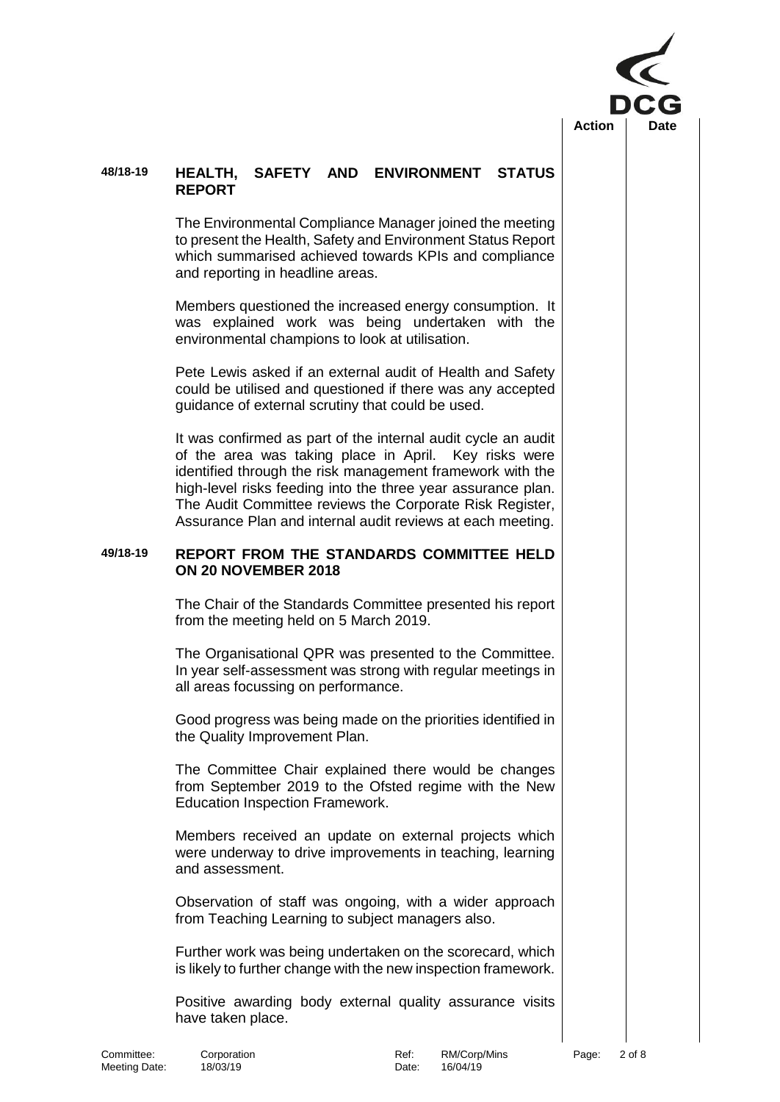

## **48/18-19 HEALTH, SAFETY AND ENVIRONMENT STATUS REPORT**

The Environmental Compliance Manager joined the meeting to present the Health, Safety and Environment Status Report which summarised achieved towards KPIs and compliance and reporting in headline areas.

Members questioned the increased energy consumption. It was explained work was being undertaken with the environmental champions to look at utilisation.

Pete Lewis asked if an external audit of Health and Safety could be utilised and questioned if there was any accepted guidance of external scrutiny that could be used.

It was confirmed as part of the internal audit cycle an audit of the area was taking place in April. Key risks were identified through the risk management framework with the high-level risks feeding into the three year assurance plan. The Audit Committee reviews the Corporate Risk Register, Assurance Plan and internal audit reviews at each meeting.

## **49/18-19 REPORT FROM THE STANDARDS COMMITTEE HELD ON 20 NOVEMBER 2018**

The Chair of the Standards Committee presented his report from the meeting held on 5 March 2019.

The Organisational QPR was presented to the Committee. In year self-assessment was strong with regular meetings in all areas focussing on performance.

Good progress was being made on the priorities identified in the Quality Improvement Plan.

The Committee Chair explained there would be changes from September 2019 to the Ofsted regime with the New Education Inspection Framework.

Members received an update on external projects which were underway to drive improvements in teaching, learning and assessment.

Observation of staff was ongoing, with a wider approach from Teaching Learning to subject managers also.

Further work was being undertaken on the scorecard, which is likely to further change with the new inspection framework.

Positive awarding body external quality assurance visits have taken place.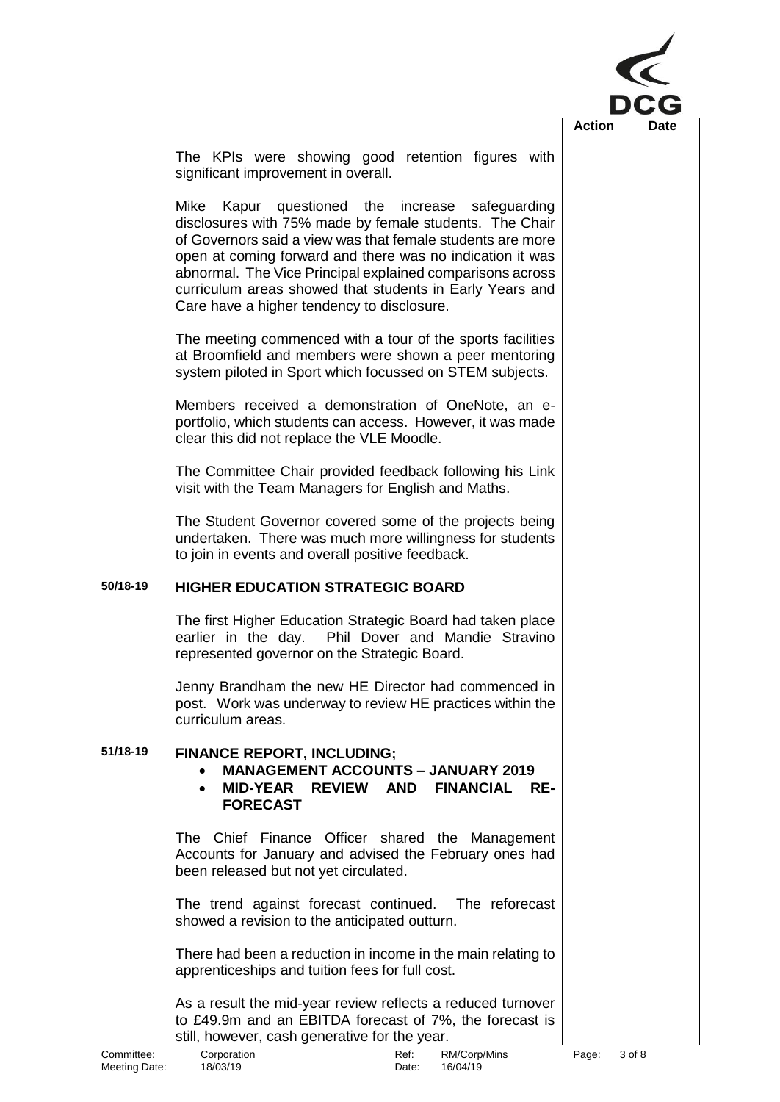

The KPIs were showing good retention figures with significant improvement in overall.

Mike Kapur questioned the increase safeguarding disclosures with 75% made by female students. The Chair of Governors said a view was that female students are more open at coming forward and there was no indication it was abnormal. The Vice Principal explained comparisons across curriculum areas showed that students in Early Years and Care have a higher tendency to disclosure.

The meeting commenced with a tour of the sports facilities at Broomfield and members were shown a peer mentoring system piloted in Sport which focussed on STEM subjects.

Members received a demonstration of OneNote, an eportfolio, which students can access. However, it was made clear this did not replace the VLE Moodle.

The Committee Chair provided feedback following his Link visit with the Team Managers for English and Maths.

The Student Governor covered some of the projects being undertaken. There was much more willingness for students to join in events and overall positive feedback.

# **50/18-19 HIGHER EDUCATION STRATEGIC BOARD**

The first Higher Education Strategic Board had taken place earlier in the day. Phil Dover and Mandie Stravino represented governor on the Strategic Board.

Jenny Brandham the new HE Director had commenced in post. Work was underway to review HE practices within the curriculum areas.

# **51/18-19 FINANCE REPORT, INCLUDING;**

- **MANAGEMENT ACCOUNTS – JANUARY 2019**
- **MID-YEAR REVIEW AND FINANCIAL RE-FORECAST**

The Chief Finance Officer shared the Management Accounts for January and advised the February ones had been released but not yet circulated.

The trend against forecast continued. The reforecast showed a revision to the anticipated outturn.

There had been a reduction in income in the main relating to apprenticeships and tuition fees for full cost.

As a result the mid-year review reflects a reduced turnover to £49.9m and an EBITDA forecast of 7%, the forecast is still, however, cash generative for the year.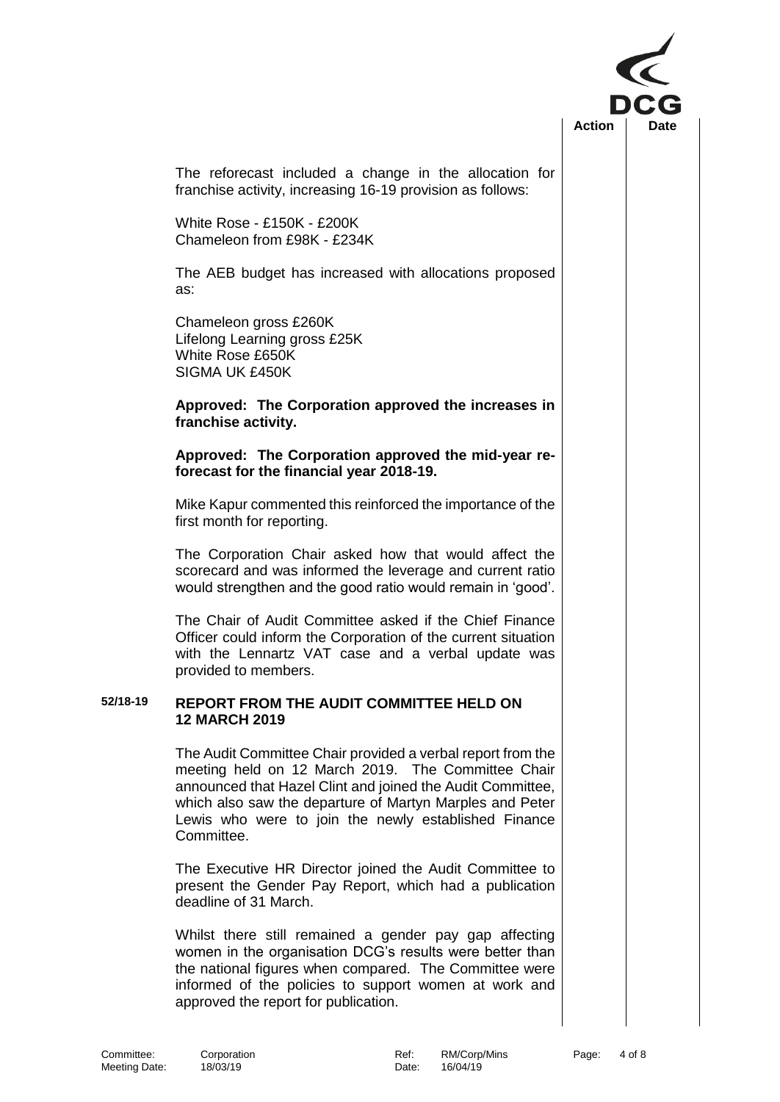

The reforecast included a change in the allocation for franchise activity, increasing 16-19 provision as follows:

White Rose - £150K - £200K Chameleon from £98K - £234K

The AEB budget has increased with allocations proposed as:

Chameleon gross £260K Lifelong Learning gross £25K White Rose £650K SIGMA UK £450K

#### **Approved: The Corporation approved the increases in franchise activity.**

### **Approved: The Corporation approved the mid-year reforecast for the financial year 2018-19.**

Mike Kapur commented this reinforced the importance of the first month for reporting.

The Corporation Chair asked how that would affect the scorecard and was informed the leverage and current ratio would strengthen and the good ratio would remain in 'good'.

The Chair of Audit Committee asked if the Chief Finance Officer could inform the Corporation of the current situation with the Lennartz VAT case and a verbal update was provided to members.

#### **52/18-19 REPORT FROM THE AUDIT COMMITTEE HELD ON 12 MARCH 2019**

The Audit Committee Chair provided a verbal report from the meeting held on 12 March 2019. The Committee Chair announced that Hazel Clint and joined the Audit Committee, which also saw the departure of Martyn Marples and Peter Lewis who were to join the newly established Finance Committee.

The Executive HR Director joined the Audit Committee to present the Gender Pay Report, which had a publication deadline of 31 March.

Whilst there still remained a gender pay gap affecting women in the organisation DCG's results were better than the national figures when compared. The Committee were informed of the policies to support women at work and approved the report for publication.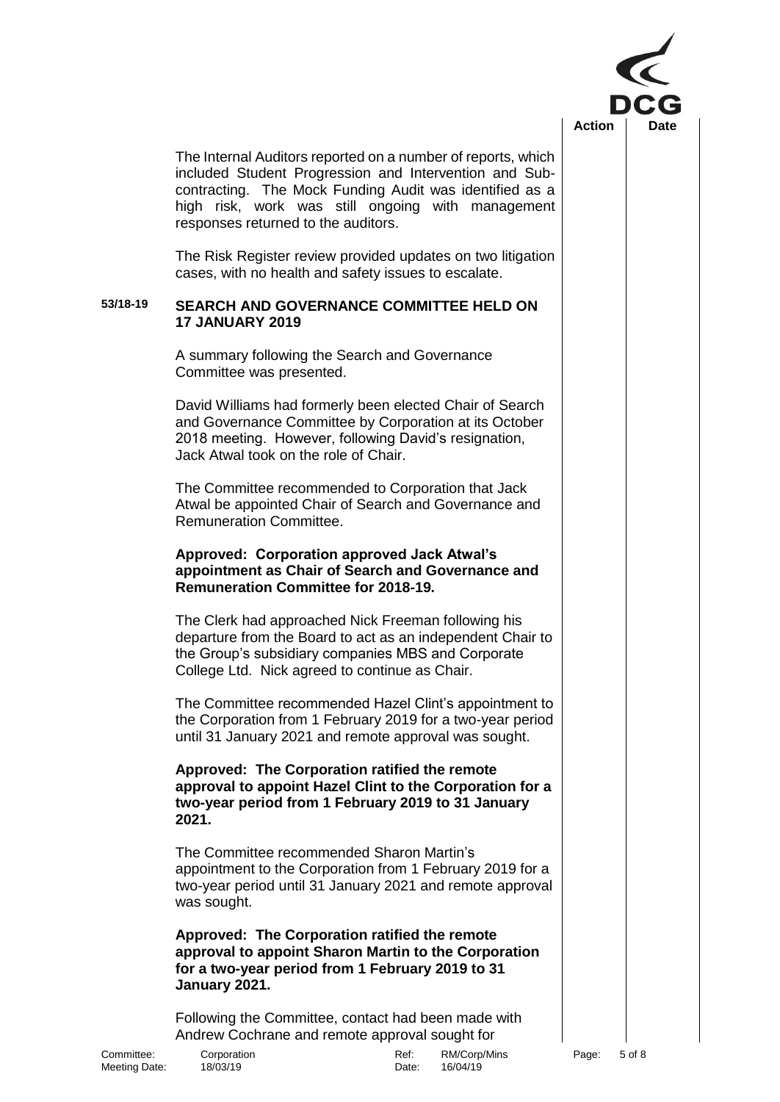

The Internal Auditors reported on a number of reports, which included Student Progression and Intervention and Subcontracting. The Mock Funding Audit was identified as a high risk, work was still ongoing with management responses returned to the auditors.

The Risk Register review provided updates on two litigation cases, with no health and safety issues to escalate.

### **53/18-19 SEARCH AND GOVERNANCE COMMITTEE HELD ON 17 JANUARY 2019**

A summary following the Search and Governance Committee was presented.

David Williams had formerly been elected Chair of Search and Governance Committee by Corporation at its October 2018 meeting. However, following David's resignation, Jack Atwal took on the role of Chair.

The Committee recommended to Corporation that Jack Atwal be appointed Chair of Search and Governance and Remuneration Committee.

## **Approved: Corporation approved Jack Atwal's appointment as Chair of Search and Governance and Remuneration Committee for 2018-19.**

The Clerk had approached Nick Freeman following his departure from the Board to act as an independent Chair to the Group's subsidiary companies MBS and Corporate College Ltd. Nick agreed to continue as Chair.

The Committee recommended Hazel Clint's appointment to the Corporation from 1 February 2019 for a two-year period until 31 January 2021 and remote approval was sought.

**Approved: The Corporation ratified the remote approval to appoint Hazel Clint to the Corporation for a two-year period from 1 February 2019 to 31 January 2021.**

The Committee recommended Sharon Martin's appointment to the Corporation from 1 February 2019 for a two-year period until 31 January 2021 and remote approval was sought.

**Approved: The Corporation ratified the remote approval to appoint Sharon Martin to the Corporation for a two-year period from 1 February 2019 to 31 January 2021.**

Following the Committee, contact had been made with Andrew Cochrane and remote approval sought for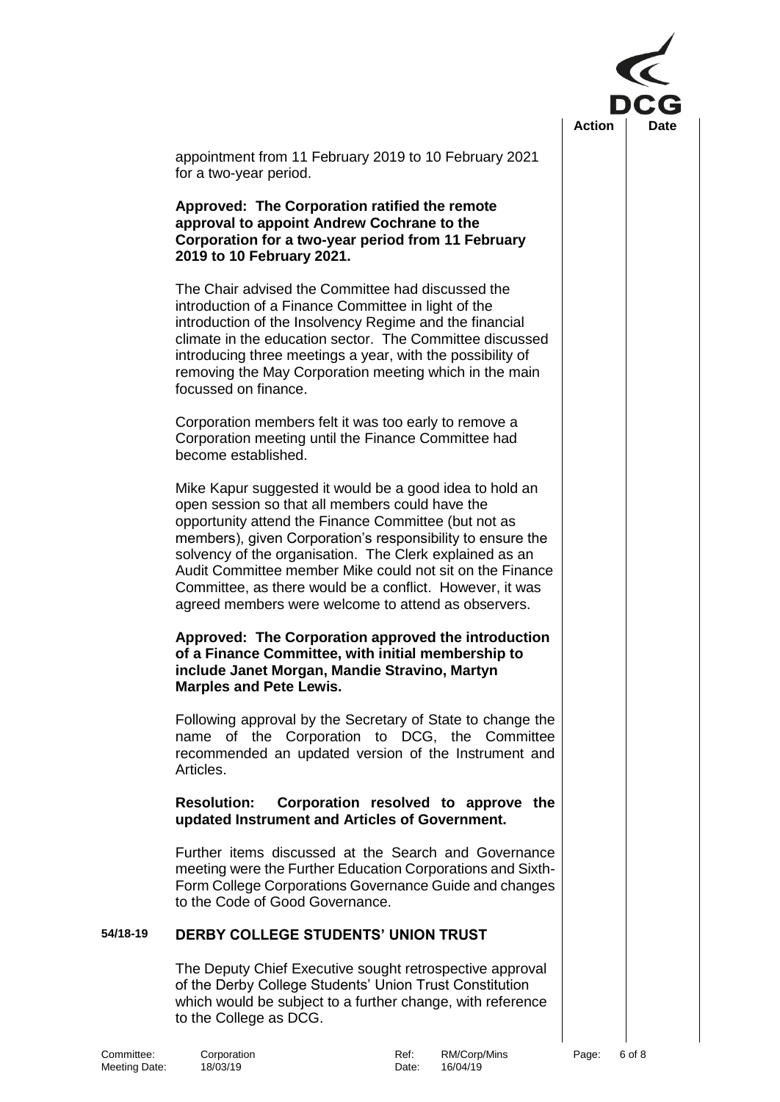

appointment from 11 February 2019 to 10 February 2021 for a two-year period.

**Approved: The Corporation ratified the remote approval to appoint Andrew Cochrane to the Corporation for a two-year period from 11 February 2019 to 10 February 2021.**

The Chair advised the Committee had discussed the introduction of a Finance Committee in light of the introduction of the Insolvency Regime and the financial climate in the education sector. The Committee discussed introducing three meetings a year, with the possibility of removing the May Corporation meeting which in the main focussed on finance.

Corporation members felt it was too early to remove a Corporation meeting until the Finance Committee had become established.

Mike Kapur suggested it would be a good idea to hold an open session so that all members could have the opportunity attend the Finance Committee (but not as members), given Corporation's responsibility to ensure the solvency of the organisation. The Clerk explained as an Audit Committee member Mike could not sit on the Finance Committee, as there would be a conflict. However, it was agreed members were welcome to attend as observers.

### **Approved: The Corporation approved the introduction of a Finance Committee, with initial membership to include Janet Morgan, Mandie Stravino, Martyn Marples and Pete Lewis.**

Following approval by the Secretary of State to change the name of the Corporation to DCG, the Committee recommended an updated version of the Instrument and Articles.

# **Resolution: Corporation resolved to approve the updated Instrument and Articles of Government.**

Further items discussed at the Search and Governance meeting were the Further Education Corporations and Sixth-Form College Corporations Governance Guide and changes to the Code of Good Governance.

## **54/18-19 DERBY COLLEGE STUDENTS' UNION TRUST**

The Deputy Chief Executive sought retrospective approval of the Derby College Students' Union Trust Constitution which would be subject to a further change, with reference to the College as DCG.

| Committee:    | Corporation | Ref:  | RM/Corp  |
|---------------|-------------|-------|----------|
| Meeting Date: | 18/03/19    | Date: | 16/04/19 |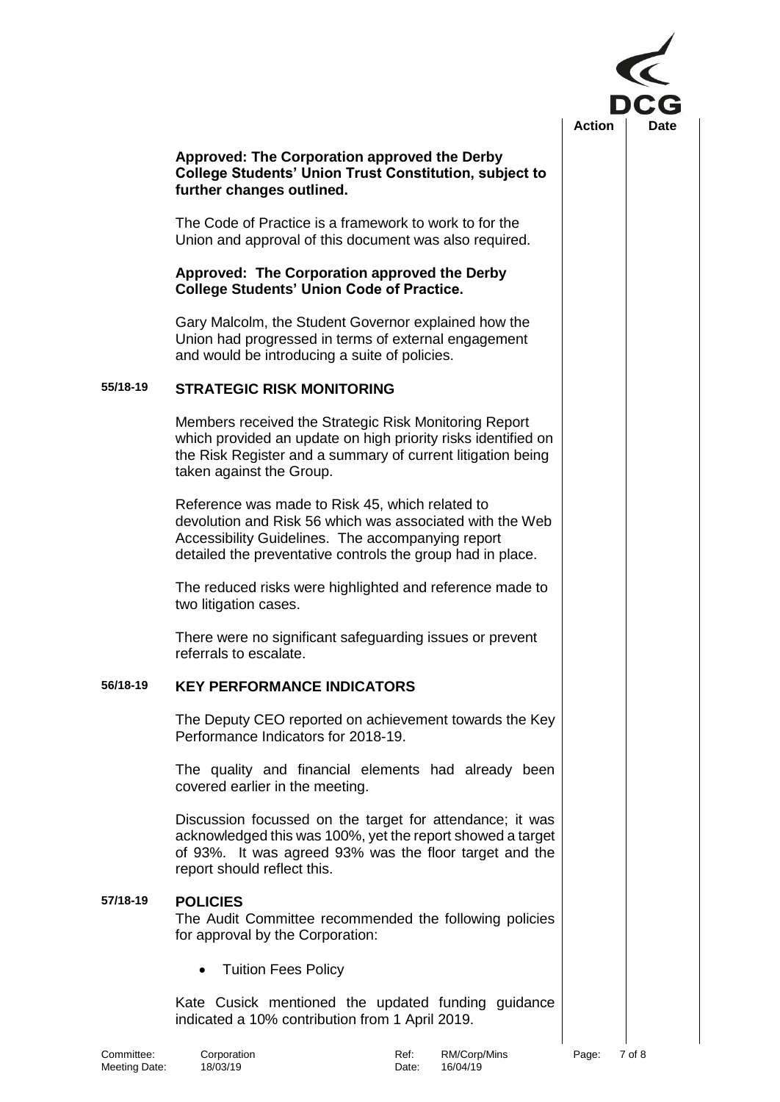

## **Approved: The Corporation approved the Derby College Students' Union Trust Constitution, subject to further changes outlined.**

The Code of Practice is a framework to work to for the Union and approval of this document was also required.

## **Approved: The Corporation approved the Derby College Students' Union Code of Practice.**

Gary Malcolm, the Student Governor explained how the Union had progressed in terms of external engagement and would be introducing a suite of policies.

### **55/18-19 STRATEGIC RISK MONITORING**

Members received the Strategic Risk Monitoring Report which provided an update on high priority risks identified on the Risk Register and a summary of current litigation being taken against the Group.

Reference was made to Risk 45, which related to devolution and Risk 56 which was associated with the Web Accessibility Guidelines. The accompanying report detailed the preventative controls the group had in place.

The reduced risks were highlighted and reference made to two litigation cases.

There were no significant safeguarding issues or prevent referrals to escalate.

# **56/18-19 KEY PERFORMANCE INDICATORS**

The Deputy CEO reported on achievement towards the Key Performance Indicators for 2018-19.

The quality and financial elements had already been covered earlier in the meeting.

Discussion focussed on the target for attendance; it was acknowledged this was 100%, yet the report showed a target of 93%. It was agreed 93% was the floor target and the report should reflect this.

## **57/18-19 POLICIES**

The Audit Committee recommended the following policies for approval by the Corporation:

• Tuition Fees Policy

Kate Cusick mentioned the updated funding guidance indicated a 10% contribution from 1 April 2019.